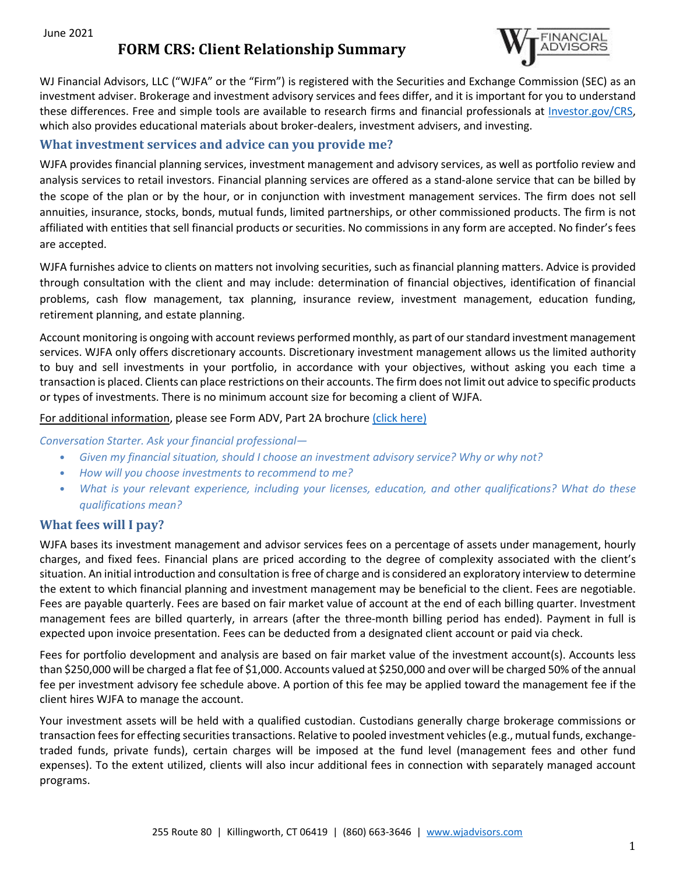June 2021

# **FORM CRS: Client Relationship Summary**



WJ Financial Advisors, LLC ("WJFA" or the "Firm") is registered with the Securities and Exchange Commission (SEC) as an investment adviser. Brokerage and investment advisory services and fees differ, and it is important for you to understand these differences. Free and simple tools are available to research firms and financial professionals at [Investor.gov/CRS,](http://www.investor.gov/CRS)  which also provides educational materials about broker-dealers, investment advisers, and investing.

## **What investment services and advice can you provide me?**

WJFA provides financial planning services, investment management and advisory services, as well as portfolio review and analysis services to retail investors. Financial planning services are offered as a stand-alone service that can be billed by the scope of the plan or by the hour, or in conjunction with investment management services. The firm does not sell annuities, insurance, stocks, bonds, mutual funds, limited partnerships, or other commissioned products. The firm is not affiliated with entities that sell financial products or securities. No commissions in any form are accepted. No finder's fees are accepted.

WJFA furnishes advice to clients on matters not involving securities, such as financial planning matters. Advice is provided through consultation with the client and may include: determination of financial objectives, identification of financial problems, cash flow management, tax planning, insurance review, investment management, education funding, retirement planning, and estate planning.

Account monitoring is ongoing with account reviews performed monthly, as part of our standard investment management services. WJFA only offers discretionary accounts. Discretionary investment management allows us the limited authority to buy and sell investments in your portfolio, in accordance with your objectives, without asking you each time a transaction is placed. Clients can place restrictions on their accounts. The firm does not limit out advice to specific products or types of investments. There is no minimum account size for becoming a client of WJFA.

#### For additional information, please see Form ADV, Part 2A brochure [\(click here\)](https://files.adviserinfo.sec.gov/IAPD/Content/Common/crd_iapd_Brochure.aspx?BRCHR_VRSN_ID=718673)

#### *Conversation Starter. Ask your financial professional—*

- *Given my financial situation, should I choose an investment advisory service? Why or why not?*
- *How will you choose investments to recommend to me?*
- *What is your relevant experience, including your licenses, education, and other qualifications? What do these qualifications mean?*

### **What fees will I pay?**

WJFA bases its investment management and advisor services fees on a percentage of assets under management, hourly charges, and fixed fees. Financial plans are priced according to the degree of complexity associated with the client's situation. An initial introduction and consultation is free of charge and is considered an exploratory interview to determine the extent to which financial planning and investment management may be beneficial to the client. Fees are negotiable. Fees are payable quarterly. Fees are based on fair market value of account at the end of each billing quarter. Investment management fees are billed quarterly, in arrears (after the three-month billing period has ended). Payment in full is expected upon invoice presentation. Fees can be deducted from a designated client account or paid via check.

Fees for portfolio development and analysis are based on fair market value of the investment account(s). Accounts less than \$250,000 will be charged a flat fee of \$1,000. Accounts valued at \$250,000 and over will be charged 50% of the annual fee per investment advisory fee schedule above. A portion of this fee may be applied toward the management fee if the client hires WJFA to manage the account.

Your investment assets will be held with a qualified custodian. Custodians generally charge brokerage commissions or transaction fees for effecting securities transactions. Relative to pooled investment vehicles (e.g., mutual funds, exchangetraded funds, private funds), certain charges will be imposed at the fund level (management fees and other fund expenses). To the extent utilized, clients will also incur additional fees in connection with separately managed account programs.